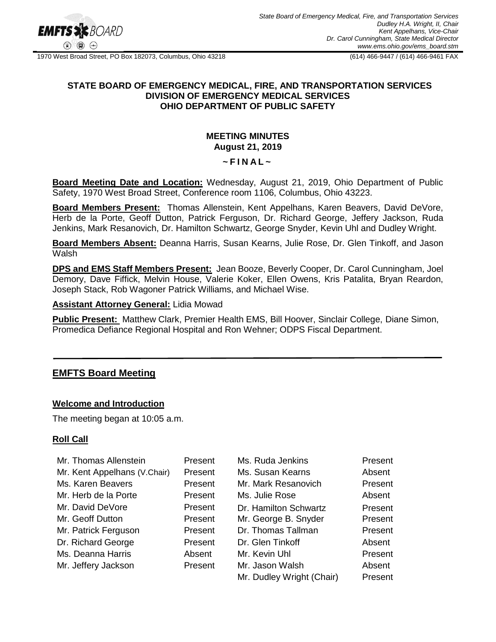

1970 West Broad Street, PO Box 182073, Columbus, Ohio 43218 (614) 466-9447 / (614) 466-9461 FAX

## **STATE BOARD OF EMERGENCY MEDICAL, FIRE, AND TRANSPORTATION SERVICES DIVISION OF EMERGENCY MEDICAL SERVICES OHIO DEPARTMENT OF PUBLIC SAFETY**

# **MEETING MINUTES August 21, 2019**

### **~ F I N A L ~**

**Board Meeting Date and Location:** Wednesday, August 21, 2019, Ohio Department of Public Safety, 1970 West Broad Street, Conference room 1106, Columbus, Ohio 43223.

**Board Members Present:** Thomas Allenstein, Kent Appelhans, Karen Beavers, David DeVore, Herb de la Porte, Geoff Dutton, Patrick Ferguson, Dr. Richard George, Jeffery Jackson, Ruda Jenkins, Mark Resanovich, Dr. Hamilton Schwartz, George Snyder, Kevin Uhl and Dudley Wright.

**Board Members Absent:** Deanna Harris, Susan Kearns, Julie Rose, Dr. Glen Tinkoff, and Jason **Walsh** 

**DPS and EMS Staff Members Present:** Jean Booze, Beverly Cooper, Dr. Carol Cunningham, Joel Demory, Dave Fiffick, Melvin House, Valerie Koker, Ellen Owens, Kris Patalita, Bryan Reardon, Joseph Stack, Rob Wagoner Patrick Williams, and Michael Wise.

#### **Assistant Attorney General:** Lidia Mowad

**Public Present:** Matthew Clark, Premier Health EMS, Bill Hoover, Sinclair College, Diane Simon, Promedica Defiance Regional Hospital and Ron Wehner; ODPS Fiscal Department.

# **EMFTS Board Meeting**

## **Welcome and Introduction**

The meeting began at 10:05 a.m.

## **Roll Call**

| Mr. Thomas Allenstein        | Present | Ms. Ruda Jenkins          | Present |
|------------------------------|---------|---------------------------|---------|
| Mr. Kent Appelhans (V.Chair) | Present | Ms. Susan Kearns          | Absent  |
| Ms. Karen Beavers            | Present | Mr. Mark Resanovich       | Present |
| Mr. Herb de la Porte         | Present | Ms. Julie Rose            | Absent  |
| Mr. David DeVore             | Present | Dr. Hamilton Schwartz     | Present |
| Mr. Geoff Dutton             | Present | Mr. George B. Snyder      | Present |
| Mr. Patrick Ferguson         | Present | Dr. Thomas Tallman        | Present |
| Dr. Richard George           | Present | Dr. Glen Tinkoff          | Absent  |
| Ms. Deanna Harris            | Absent  | Mr. Kevin Uhl             | Present |
| Mr. Jeffery Jackson          | Present | Mr. Jason Walsh           | Absent  |
|                              |         | Mr. Dudley Wright (Chair) | Present |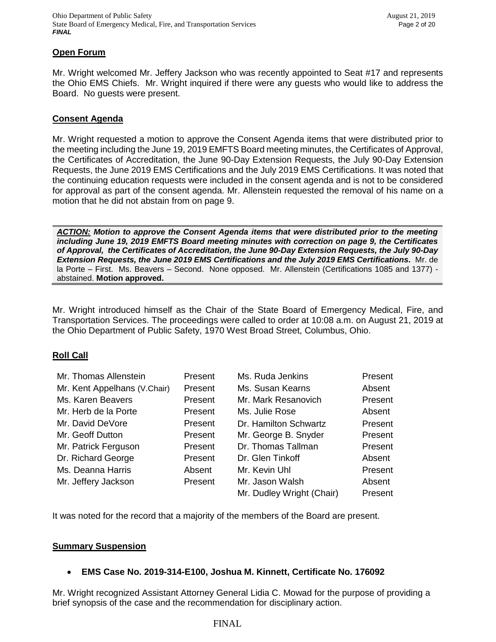## **Open Forum**

Mr. Wright welcomed Mr. Jeffery Jackson who was recently appointed to Seat #17 and represents the Ohio EMS Chiefs. Mr. Wright inquired if there were any guests who would like to address the Board. No guests were present.

## **Consent Agenda**

Mr. Wright requested a motion to approve the Consent Agenda items that were distributed prior to the meeting including the June 19, 2019 EMFTS Board meeting minutes, the Certificates of Approval, the Certificates of Accreditation, the June 90-Day Extension Requests, the July 90-Day Extension Requests, the June 2019 EMS Certifications and the July 2019 EMS Certifications. It was noted that the continuing education requests were included in the consent agenda and is not to be considered for approval as part of the consent agenda. Mr. Allenstein requested the removal of his name on a motion that he did not abstain from on page 9.

*ACTION: Motion to approve the Consent Agenda items that were distributed prior to the meeting including June 19, 2019 EMFTS Board meeting minutes with correction on page 9, the Certificates of Approval, the Certificates of Accreditation, the June 90-Day Extension Requests, the July 90-Day Extension Requests, the June 2019 EMS Certifications and the July 2019 EMS Certifications.* Mr. de la Porte – First. Ms. Beavers – Second. None opposed. Mr. Allenstein (Certifications 1085 and 1377) abstained. **Motion approved.**

Mr. Wright introduced himself as the Chair of the State Board of Emergency Medical, Fire, and Transportation Services. The proceedings were called to order at 10:08 a.m. on August 21, 2019 at the Ohio Department of Public Safety, 1970 West Broad Street, Columbus, Ohio.

## **Roll Call**

| Mr. Thomas Allenstein        | Present | Ms. Ruda Jenkins          | Present |
|------------------------------|---------|---------------------------|---------|
| Mr. Kent Appelhans (V.Chair) | Present | Ms. Susan Kearns          | Absent  |
| Ms. Karen Beavers            | Present | Mr. Mark Resanovich       | Present |
| Mr. Herb de la Porte         | Present | Ms. Julie Rose            | Absent  |
| Mr. David DeVore             | Present | Dr. Hamilton Schwartz     | Present |
| Mr. Geoff Dutton             | Present | Mr. George B. Snyder      | Present |
| Mr. Patrick Ferguson         | Present | Dr. Thomas Tallman        | Present |
| Dr. Richard George           | Present | Dr. Glen Tinkoff          | Absent  |
| Ms. Deanna Harris            | Absent  | Mr. Kevin Uhl             | Present |
| Mr. Jeffery Jackson          | Present | Mr. Jason Walsh           | Absent  |
|                              |         | Mr. Dudley Wright (Chair) | Present |

It was noted for the record that a majority of the members of the Board are present.

# **Summary Suspension**

# **EMS Case No. 2019-314-E100, Joshua M. Kinnett, Certificate No. 176092**

Mr. Wright recognized Assistant Attorney General Lidia C. Mowad for the purpose of providing a brief synopsis of the case and the recommendation for disciplinary action.

## FINAL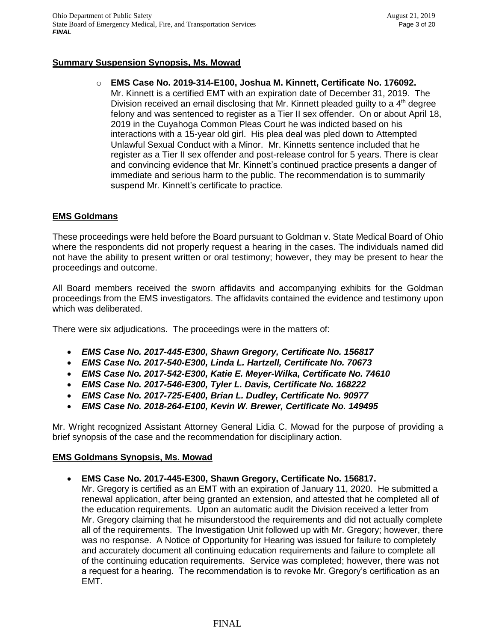# **Summary Suspension Synopsis, Ms. Mowad**

## o **EMS Case No. 2019-314-E100, Joshua M. Kinnett, Certificate No. 176092.**

Mr. Kinnett is a certified EMT with an expiration date of December 31, 2019. The Division received an email disclosing that Mr. Kinnett pleaded guilty to a 4<sup>th</sup> degree felony and was sentenced to register as a Tier II sex offender. On or about April 18, 2019 in the Cuyahoga Common Pleas Court he was indicted based on his interactions with a 15-year old girl. His plea deal was pled down to Attempted Unlawful Sexual Conduct with a Minor. Mr. Kinnetts sentence included that he register as a Tier II sex offender and post-release control for 5 years. There is clear and convincing evidence that Mr. Kinnett's continued practice presents a danger of immediate and serious harm to the public. The recommendation is to summarily suspend Mr. Kinnett's certificate to practice.

# **EMS Goldmans**

These proceedings were held before the Board pursuant to Goldman v. State Medical Board of Ohio where the respondents did not properly request a hearing in the cases. The individuals named did not have the ability to present written or oral testimony; however, they may be present to hear the proceedings and outcome.

All Board members received the sworn affidavits and accompanying exhibits for the Goldman proceedings from the EMS investigators. The affidavits contained the evidence and testimony upon which was deliberated.

There were six adjudications. The proceedings were in the matters of:

- *EMS Case No. 2017-445-E300, Shawn Gregory, Certificate No. 156817*
- *EMS Case No. 2017-540-E300, Linda L. Hartzell, Certificate No. 70673*
- *EMS Case No. 2017-542-E300, Katie E. Meyer-Wilka, Certificate No. 74610*
- *EMS Case No. 2017-546-E300, Tyler L. Davis, Certificate No. 168222*
- *EMS Case No. 2017-725-E400, Brian L. Dudley, Certificate No. 90977*
- *EMS Case No. 2018-264-E100, Kevin W. Brewer, Certificate No. 149495*

Mr. Wright recognized Assistant Attorney General Lidia C. Mowad for the purpose of providing a brief synopsis of the case and the recommendation for disciplinary action.

## **EMS Goldmans Synopsis, Ms. Mowad**

## **EMS Case No. 2017-445-E300, Shawn Gregory, Certificate No. 156817.**

Mr. Gregory is certified as an EMT with an expiration of January 11, 2020. He submitted a renewal application, after being granted an extension, and attested that he completed all of the education requirements. Upon an automatic audit the Division received a letter from Mr. Gregory claiming that he misunderstood the requirements and did not actually complete all of the requirements. The Investigation Unit followed up with Mr. Gregory; however, there was no response. A Notice of Opportunity for Hearing was issued for failure to completely and accurately document all continuing education requirements and failure to complete all of the continuing education requirements. Service was completed; however, there was not a request for a hearing. The recommendation is to revoke Mr. Gregory's certification as an EMT.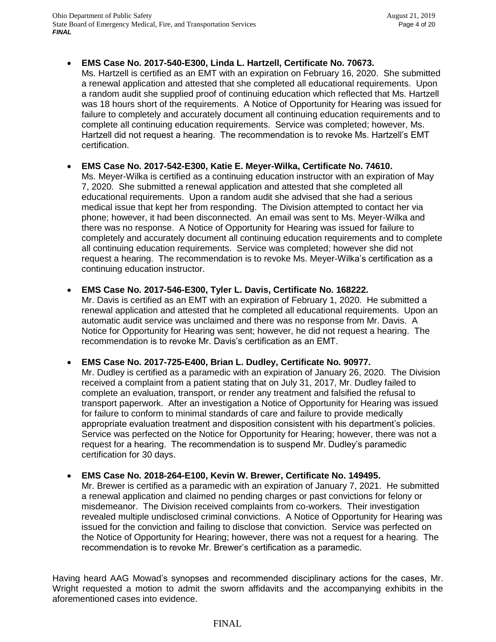continuing education instructor.

**EMS Case No. 2017-540-E300, Linda L. Hartzell, Certificate No. 70673.**

Ms. Hartzell is certified as an EMT with an expiration on February 16, 2020. She submitted a renewal application and attested that she completed all educational requirements. Upon a random audit she supplied proof of continuing education which reflected that Ms. Hartzell was 18 hours short of the requirements. A Notice of Opportunity for Hearing was issued for failure to completely and accurately document all continuing education requirements and to complete all continuing education requirements. Service was completed; however, Ms. Hartzell did not request a hearing. The recommendation is to revoke Ms. Hartzell's EMT certification.

 **EMS Case No. 2017-542-E300, Katie E. Meyer-Wilka, Certificate No. 74610.** Ms. Meyer-Wilka is certified as a continuing education instructor with an expiration of May 7, 2020. She submitted a renewal application and attested that she completed all educational requirements. Upon a random audit she advised that she had a serious medical issue that kept her from responding. The Division attempted to contact her via phone; however, it had been disconnected. An email was sent to Ms. Meyer-Wilka and there was no response. A Notice of Opportunity for Hearing was issued for failure to completely and accurately document all continuing education requirements and to complete all continuing education requirements. Service was completed; however she did not request a hearing. The recommendation is to revoke Ms. Meyer-Wilka's certification as a

**EMS Case No. 2017-546-E300, Tyler L. Davis, Certificate No. 168222.**

Mr. Davis is certified as an EMT with an expiration of February 1, 2020. He submitted a renewal application and attested that he completed all educational requirements. Upon an automatic audit service was unclaimed and there was no response from Mr. Davis. A Notice for Opportunity for Hearing was sent; however, he did not request a hearing. The recommendation is to revoke Mr. Davis's certification as an EMT.

**EMS Case No. 2017-725-E400, Brian L. Dudley, Certificate No. 90977.**

Mr. Dudley is certified as a paramedic with an expiration of January 26, 2020. The Division received a complaint from a patient stating that on July 31, 2017, Mr. Dudley failed to complete an evaluation, transport, or render any treatment and falsified the refusal to transport paperwork. After an investigation a Notice of Opportunity for Hearing was issued for failure to conform to minimal standards of care and failure to provide medically appropriate evaluation treatment and disposition consistent with his department's policies. Service was perfected on the Notice for Opportunity for Hearing; however, there was not a request for a hearing. The recommendation is to suspend Mr. Dudley's paramedic certification for 30 days.

**EMS Case No. 2018-264-E100, Kevin W. Brewer, Certificate No. 149495.**

Mr. Brewer is certified as a paramedic with an expiration of January 7, 2021. He submitted a renewal application and claimed no pending charges or past convictions for felony or misdemeanor. The Division received complaints from co-workers. Their investigation revealed multiple undisclosed criminal convictions. A Notice of Opportunity for Hearing was issued for the conviction and failing to disclose that conviction. Service was perfected on the Notice of Opportunity for Hearing; however, there was not a request for a hearing. The recommendation is to revoke Mr. Brewer's certification as a paramedic.

Having heard AAG Mowad's synopses and recommended disciplinary actions for the cases, Mr. Wright requested a motion to admit the sworn affidavits and the accompanying exhibits in the aforementioned cases into evidence.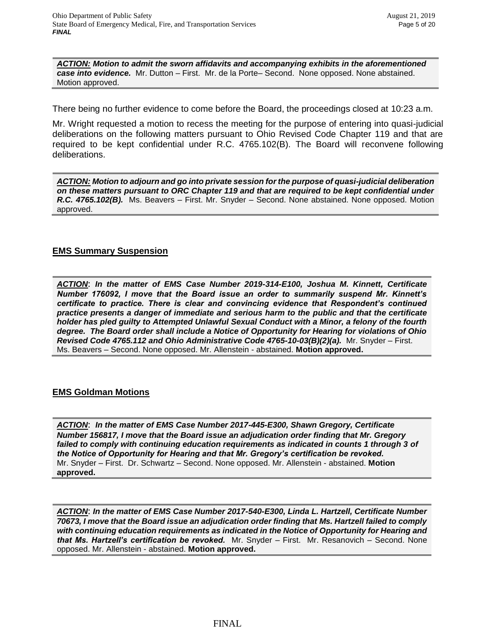*ACTION: Motion to admit the sworn affidavits and accompanying exhibits in the aforementioned case into evidence.* Mr. Dutton – First. Mr. de la Porte– Second. None opposed. None abstained. Motion approved.

There being no further evidence to come before the Board, the proceedings closed at 10:23 a.m.

Mr. Wright requested a motion to recess the meeting for the purpose of entering into quasi-judicial deliberations on the following matters pursuant to Ohio Revised Code Chapter 119 and that are required to be kept confidential under R.C. 4765.102(B). The Board will reconvene following deliberations.

*ACTION: Motion to adjourn and go into private session for the purpose of quasi-judicial deliberation on these matters pursuant to ORC Chapter 119 and that are required to be kept confidential under R.C. 4765.102(B).* Ms. Beavers – First. Mr. Snyder – Second. None abstained. None opposed. Motion approved.

## **EMS Summary Suspension**

*ACTION*: *In the matter of EMS Case Number 2019-314-E100, Joshua M. Kinnett, Certificate Number 176092, I move that the Board issue an order to summarily suspend Mr. Kinnett's certificate to practice. There is clear and convincing evidence that Respondent's continued practice presents a danger of immediate and serious harm to the public and that the certificate holder has pled guilty to Attempted Unlawful Sexual Conduct with a Minor, a felony of the fourth degree. The Board order shall include a Notice of Opportunity for Hearing for violations of Ohio Revised Code 4765.112 and Ohio Administrative Code 4765-10-03(B)(2)(a).* Mr. Snyder – First. Ms. Beavers – Second. None opposed. Mr. Allenstein - abstained. **Motion approved.**

# **EMS Goldman Motions**

*ACTION*: *In the matter of EMS Case Number 2017-445-E300, Shawn Gregory, Certificate Number 156817, I move that the Board issue an adjudication order finding that Mr. Gregory*  failed to comply with continuing education requirements as indicated in counts 1 through 3 of *the Notice of Opportunity for Hearing and that Mr. Gregory's certification be revoked.*  Mr. Snyder – First. Dr. Schwartz – Second. None opposed. Mr. Allenstein - abstained. **Motion approved.**

*ACTION*: *In the matter of EMS Case Number 2017-540-E300, Linda L. Hartzell, Certificate Number 70673, I move that the Board issue an adjudication order finding that Ms. Hartzell failed to comply with continuing education requirements as indicated in the Notice of Opportunity for Hearing and that Ms. Hartzell's certification be revoked.* Mr. Snyder – First. Mr. Resanovich – Second. None opposed. Mr. Allenstein - abstained. **Motion approved.**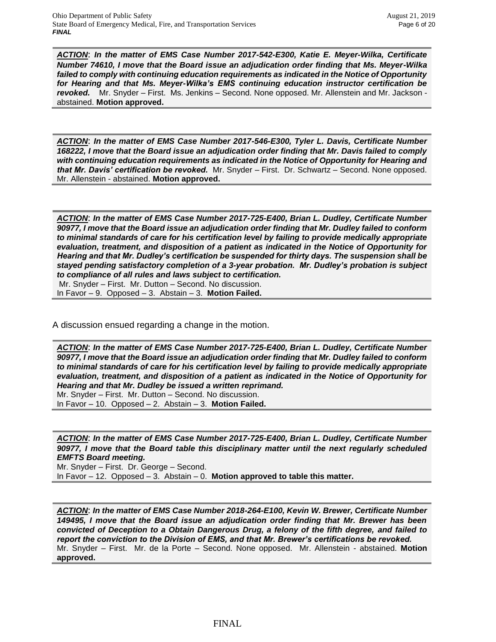*ACTION*: *In the matter of EMS Case Number 2017-542-E300, Katie E. Meyer-Wilka, Certificate Number 74610, I move that the Board issue an adjudication order finding that Ms. Meyer-Wilka failed to comply with continuing education requirements as indicated in the Notice of Opportunity for Hearing and that Ms. Meyer-Wilka's EMS continuing education instructor certification be revoked.* Mr. Snyder – First. Ms. Jenkins – Second. None opposed. Mr. Allenstein and Mr. Jackson abstained. **Motion approved.**

*ACTION*: *In the matter of EMS Case Number 2017-546-E300, Tyler L. Davis, Certificate Number 168222, I move that the Board issue an adjudication order finding that Mr. Davis failed to comply with continuing education requirements as indicated in the Notice of Opportunity for Hearing and that Mr. Davis' certification be revoked.* Mr. Snyder – First. Dr. Schwartz – Second. None opposed. Mr. Allenstein - abstained. **Motion approved.**

*ACTION*: *In the matter of EMS Case Number 2017-725-E400, Brian L. Dudley, Certificate Number 90977, I move that the Board issue an adjudication order finding that Mr. Dudley failed to conform to minimal standards of care for his certification level by failing to provide medically appropriate evaluation, treatment, and disposition of a patient as indicated in the Notice of Opportunity for Hearing and that Mr. Dudley's certification be suspended for thirty days. The suspension shall be stayed pending satisfactory completion of a 3-year probation. Mr. Dudley's probation is subject to compliance of all rules and laws subject to certification.* Mr. Snyder – First. Mr. Dutton – Second. No discussion.

In Favor – 9. Opposed – 3. Abstain – 3. **Motion Failed.**

A discussion ensued regarding a change in the motion.

*ACTION*: *In the matter of EMS Case Number 2017-725-E400, Brian L. Dudley, Certificate Number 90977, I move that the Board issue an adjudication order finding that Mr. Dudley failed to conform to minimal standards of care for his certification level by failing to provide medically appropriate evaluation, treatment, and disposition of a patient as indicated in the Notice of Opportunity for Hearing and that Mr. Dudley be issued a written reprimand.*  Mr. Snyder – First. Mr. Dutton – Second. No discussion.

In Favor – 10. Opposed – 2. Abstain – 3. **Motion Failed.**

*ACTION*: *In the matter of EMS Case Number 2017-725-E400, Brian L. Dudley, Certificate Number 90977, I move that the Board table this disciplinary matter until the next regularly scheduled EMFTS Board meeting.*

Mr. Snyder – First. Dr. George – Second. In Favor – 12. Opposed – 3. Abstain – 0. **Motion approved to table this matter.**

*ACTION*: *In the matter of EMS Case Number 2018-264-E100, Kevin W. Brewer, Certificate Number 149495, I move that the Board issue an adjudication order finding that Mr. Brewer has been convicted of Deception to a Obtain Dangerous Drug, a felony of the fifth degree, and failed to report the conviction to the Division of EMS, and that Mr. Brewer's certifications be revoked.*  Mr. Snyder – First. Mr. de la Porte – Second. None opposed. Mr. Allenstein - abstained. **Motion approved.**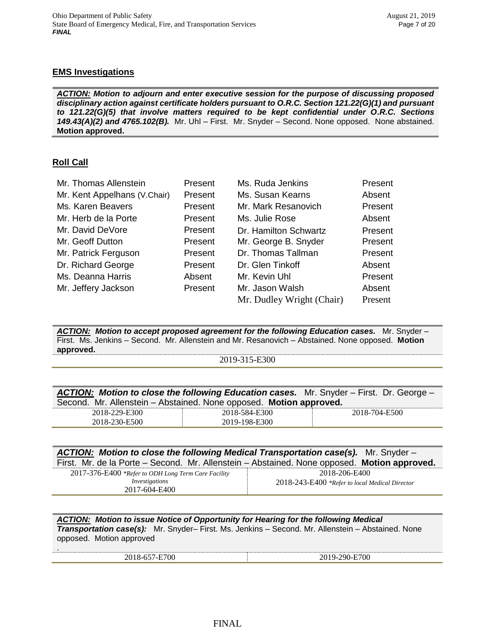# **EMS Investigations**

*ACTION: Motion to adjourn and enter executive session for the purpose of discussing proposed disciplinary action against certificate holders pursuant to O.R.C. Section 121.22(G)(1) and pursuant to 121.22(G)(5) that involve matters required to be kept confidential under O.R.C. Sections 149.43(A)(2) and 4765.102(B).* Mr. Uhl – First. Mr. Snyder – Second. None opposed. None abstained. **Motion approved.**

# **Roll Call**

.

| Mr. Thomas Allenstein        | Present | Ms. Ruda Jenkins          | Present |
|------------------------------|---------|---------------------------|---------|
| Mr. Kent Appelhans (V.Chair) | Present | Ms. Susan Kearns          | Absent  |
| Ms. Karen Beavers            | Present | Mr. Mark Resanovich       | Present |
| Mr. Herb de la Porte         | Present | Ms. Julie Rose            | Absent  |
| Mr. David DeVore             | Present | Dr. Hamilton Schwartz     | Present |
| Mr. Geoff Dutton             | Present | Mr. George B. Snyder      | Present |
| Mr. Patrick Ferguson         | Present | Dr. Thomas Tallman        | Present |
| Dr. Richard George           | Present | Dr. Glen Tinkoff          | Absent  |
| Ms. Deanna Harris            | Absent  | Mr. Kevin Uhl             | Present |
| Mr. Jeffery Jackson          | Present | Mr. Jason Walsh           | Absent  |
|                              |         | Mr. Dudley Wright (Chair) | Present |

*ACTION: Motion to accept proposed agreement for the following Education cases.* Mr. Snyder – First. Ms. Jenkins – Second. Mr. Allenstein and Mr. Resanovich – Abstained. None opposed. **Motion approved.**

2019-315-E300

|                                                                    |               | ACTION: Motion to close the following Education cases. Mr. Snyder – First. Dr. George – |
|--------------------------------------------------------------------|---------------|-----------------------------------------------------------------------------------------|
| Second. Mr. Allenstein - Abstained. None opposed. Motion approved. |               |                                                                                         |
| 2018-229-E300                                                      | 2018-584-E300 | 2018-704-E500                                                                           |
| 2018-230-E500                                                      | 2019-198-E300 |                                                                                         |
|                                                                    |               |                                                                                         |

| ACTION: Motion to close the following Medical Transportation case(s). Mr. Snyder -<br>First. Mr. de la Porte – Second. Mr. Allenstein – Abstained. None opposed. Motion approved. |                                                                 |
|-----------------------------------------------------------------------------------------------------------------------------------------------------------------------------------|-----------------------------------------------------------------|
| 2017-376-E400 *Refer to ODH Long Term Care Facility<br>Investigations<br>2017-604-E400                                                                                            | 2018-206-E400<br>2018-243-E400 *Refer to local Medical Director |

*ACTION: Motion to issue Notice of Opportunity for Hearing for the following Medical Transportation case(s):* Mr. Snyder– First. Ms. Jenkins – Second. Mr. Allenstein – Abstained. None opposed. Motion approved

| 700      | 70. |
|----------|-----|
| $\cdots$ | ,,, |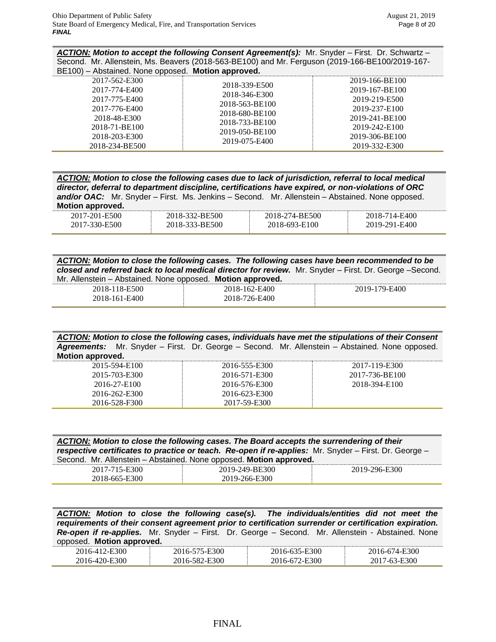*ACTION: Motion to accept the following Consent Agreement(s):* Mr. Snyder – First. Dr. Schwartz – Second. Mr. Allenstein, Ms. Beavers (2018-563-BE100) and Mr. Ferguson (2019-166-BE100/2019-167- BE100) – Abstained. None opposed. **Motion approved.**

| 2017-562-E300<br>2017-774-E400<br>2017-775-E400<br>2017-776-E400<br>2018-48-E300<br>2018-71-BE100<br>2018-203-E300<br>2018-234-BE500 | 2018-339-E500<br>2018-346-E300<br>2018-563-BE100<br>2018-680-BE100<br>2018-733-BE100<br>2019-050-BE100<br>2019-075-E400 | 2019-166-BE100<br>2019-167-BE100<br>2019-219-E500<br>2019-237-E100<br>2019-241-BE100<br>2019-242-E100<br>2019-306-BE100<br>2019-332-E300 |
|--------------------------------------------------------------------------------------------------------------------------------------|-------------------------------------------------------------------------------------------------------------------------|------------------------------------------------------------------------------------------------------------------------------------------|
|--------------------------------------------------------------------------------------------------------------------------------------|-------------------------------------------------------------------------------------------------------------------------|------------------------------------------------------------------------------------------------------------------------------------------|

| ACTION: Motion to close the following cases due to lack of jurisdiction, referral to local medical<br>director, deferral to department discipline, certifications have expired, or non-violations of ORC |                |                |               |  |
|----------------------------------------------------------------------------------------------------------------------------------------------------------------------------------------------------------|----------------|----------------|---------------|--|
|                                                                                                                                                                                                          |                |                |               |  |
| and/or OAC: Mr. Snyder – First. Ms. Jenkins – Second. Mr. Allenstein – Abstained. None opposed.                                                                                                          |                |                |               |  |
| Motion approved.                                                                                                                                                                                         |                |                |               |  |
| 2017-201-E500                                                                                                                                                                                            | 2018-332-BE500 | 2018-274-BE500 | 2018-714-E400 |  |
| 2017-330-E500                                                                                                                                                                                            | 2018-333-BE500 | 2018-693-E100  | 2019-291-E400 |  |

| ACTION: Motion to close the following cases. The following cases have been recommended to be            |
|---------------------------------------------------------------------------------------------------------|
| closed and referred back to local medical director for review. Mr. Snyder – First. Dr. George – Second. |
| Mr. Allenstein – Abstained. None opposed. Motion approved.                                              |

| $\frac{1}{2}$ and recent the contract of the contract of the contract of the contract of the contract of the contract of the contract of the contract of the contract of the contract of the contract of the contract of the cont |               |               |
|-----------------------------------------------------------------------------------------------------------------------------------------------------------------------------------------------------------------------------------|---------------|---------------|
| 2018-118-E500                                                                                                                                                                                                                     | 2018-162-E400 | 2019-179-E400 |
| 2018-161-E400                                                                                                                                                                                                                     | 2018-726-E400 |               |

|                  |  | ACTION: Motion to close the following cases, individuals have met the stipulations of their Consent   |  |
|------------------|--|-------------------------------------------------------------------------------------------------------|--|
|                  |  | <b>Agreements:</b> Mr. Snyder – First. Dr. George – Second. Mr. Allenstein – Abstained. None opposed. |  |
| Motion approved. |  |                                                                                                       |  |

| 2015-594-E100 | 2016-555-E300 | 2017-119-E300  |
|---------------|---------------|----------------|
| 2015-703-E300 | 2016-571-E300 | 2017-736-BE100 |
| 2016-27-E100  | 2016-576-E300 | 2018-394-E100  |
| 2016-262-E300 | 2016-623-E300 |                |
| 2016-528-F300 | 2017-59-E300  |                |

| ACTION: Motion to close the following cases. The Board accepts the surrendering of their<br>respective certificates to practice or teach. Re-open if re-applies: Mr. Snyder - First. Dr. George -<br>Second. Mr. Allenstein - Abstained. None opposed. Motion approved. |                |               |  |  |  |  |
|-------------------------------------------------------------------------------------------------------------------------------------------------------------------------------------------------------------------------------------------------------------------------|----------------|---------------|--|--|--|--|
| 2017-715-E300                                                                                                                                                                                                                                                           | 2019-249-BE300 | 2019-296-E300 |  |  |  |  |
| 2018-665-E300                                                                                                                                                                                                                                                           | 2019-266-E300  |               |  |  |  |  |

*ACTION: Motion to close the following case(s). The individuals/entities did not meet the requirements of their consent agreement prior to certification surrender or certification expiration. Re-open if re-applies.* Mr. Snyder – First. Dr. George – Second. Mr. Allenstein - Abstained. None opposed. **Motion approved.**

| - - -<br> |                |     |          |
|-----------|----------------|-----|----------|
| 300<br>.  | E300<br>.<br>. | 300 | 300<br>. |
| OC        | E300<br>∫-     | 300 | 300-     |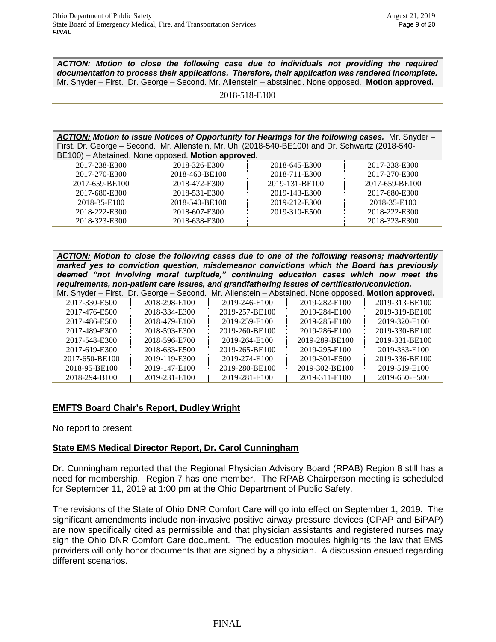*ACTION: Motion to close the following case due to individuals not providing the required documentation to process their applications. Therefore, their application was rendered incomplete.*  Mr. Snyder – First. Dr. George – Second. Mr. Allenstein – abstained. None opposed. **Motion approved.**

*ACTION: Motion to issue Notices of Opportunity for Hearings for the following cases.* Mr. Snyder – First. Dr. George – Second. Mr. Allenstein, Mr. Uhl (2018-540-BE100) and Dr. Schwartz (2018-540- BE100) – Abstained. None opposed. **Motion approved.**

| 2017-238-E300<br>2018-645-E300   |
|----------------------------------|
| 2018-711-E300<br>2017-270-E300   |
| 2019-131-BE100<br>2017-659-BE100 |
| 2019-143-E300<br>2017-680-E300   |
| 2019-212-E300<br>2018-35-E100    |
| 2018-222-E300<br>2019-310-E500   |
| 2018-323-E300                    |
|                                  |

*ACTION: Motion to close the following cases due to one of the following reasons; inadvertently marked yes to conviction question, misdemeanor convictions which the Board has previously deemed "not involving moral turpitude," continuing education cases which now meet the requirements, non-patient care issues, and grandfathering issues of certification/conviction.*

|                | Mr. Snyder – First. Dr. George – Second. Mr. Allenstein – Abstained. None opposed. Motion approved. |                |                |                |
|----------------|-----------------------------------------------------------------------------------------------------|----------------|----------------|----------------|
| 2017-330-E500  | 2018-298-E100                                                                                       | 2019-246-E100  | 2019-282-E100  | 2019-313-BE100 |
| 2017-476-E500  | 2018-334-E300                                                                                       | 2019-257-BE100 | 2019-284-E100  | 2019-319-BE100 |
| 2017-486-E500  | 2018-479-E100                                                                                       | 2019-259-E100  | 2019-285-E100  | 2019-320-E100  |
| 2017-489-E300  | 2018-593-E300                                                                                       | 2019-260-BE100 | 2019-286-E100  | 2019-330-BE100 |
| 2017-548-E300  | 2018-596-E700                                                                                       | 2019-264-E100  | 2019-289-BE100 | 2019-331-BE100 |
| 2017-619-E300  | 2018-633-E500                                                                                       | 2019-265-BE100 | 2019-295-E100  | 2019-333-E100  |
| 2017-650-BE100 | 2019-119-E300                                                                                       | 2019-274-E100  | 2019-301-E500  | 2019-336-BE100 |
| 2018-95-BE100  | 2019-147-E100                                                                                       | 2019-280-BE100 | 2019-302-BE100 | 2019-519-E100  |
| 2018-294-B100  | 2019-231-E100                                                                                       | 2019-281-E100  | 2019-311-E100  | 2019-650-E500  |

# **EMFTS Board Chair's Report, Dudley Wright**

No report to present.

# **State EMS Medical Director Report, Dr. Carol Cunningham**

Dr. Cunningham reported that the Regional Physician Advisory Board (RPAB) Region 8 still has a need for membership. Region 7 has one member. The RPAB Chairperson meeting is scheduled for September 11, 2019 at 1:00 pm at the Ohio Department of Public Safety.

The revisions of the State of Ohio DNR Comfort Care will go into effect on September 1, 2019. The significant amendments include non-invasive positive airway pressure devices (CPAP and BiPAP) are now specifically cited as permissible and that physician assistants and registered nurses may sign the Ohio DNR Comfort Care document. The education modules highlights the law that EMS providers will only honor documents that are signed by a physician. A discussion ensued regarding different scenarios.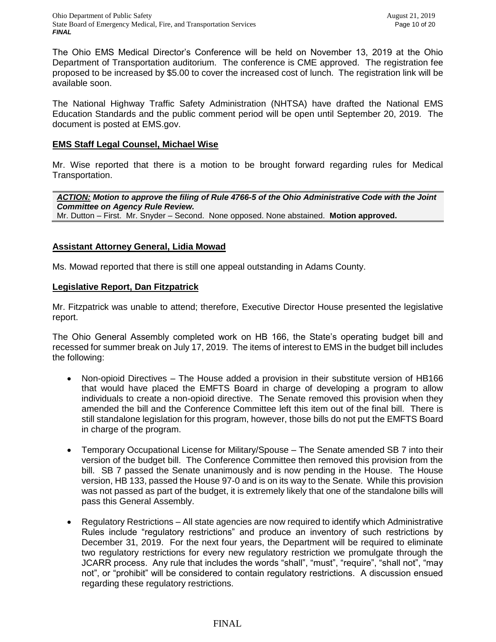The Ohio EMS Medical Director's Conference will be held on November 13, 2019 at the Ohio Department of Transportation auditorium. The conference is CME approved. The registration fee proposed to be increased by \$5.00 to cover the increased cost of lunch. The registration link will be available soon.

The National Highway Traffic Safety Administration (NHTSA) have drafted the National EMS Education Standards and the public comment period will be open until September 20, 2019. The document is posted at EMS.gov.

# **EMS Staff Legal Counsel, Michael Wise**

Mr. Wise reported that there is a motion to be brought forward regarding rules for Medical Transportation.

*ACTION: Motion to approve the filing of Rule 4766-5 of the Ohio Administrative Code with the Joint Committee on Agency Rule Review.* Mr. Dutton – First. Mr. Snyder – Second. None opposed. None abstained. **Motion approved.** 

## **Assistant Attorney General, Lidia Mowad**

Ms. Mowad reported that there is still one appeal outstanding in Adams County.

## **Legislative Report, Dan Fitzpatrick**

Mr. Fitzpatrick was unable to attend; therefore, Executive Director House presented the legislative report.

The Ohio General Assembly completed work on HB 166, the State's operating budget bill and recessed for summer break on July 17, 2019. The items of interest to EMS in the budget bill includes the following:

- Non-opioid Directives The House added a provision in their substitute version of HB166 that would have placed the EMFTS Board in charge of developing a program to allow individuals to create a non-opioid directive. The Senate removed this provision when they amended the bill and the Conference Committee left this item out of the final bill. There is still standalone legislation for this program, however, those bills do not put the EMFTS Board in charge of the program.
- Temporary Occupational License for Military/Spouse The Senate amended SB 7 into their version of the budget bill. The Conference Committee then removed this provision from the bill. SB 7 passed the Senate unanimously and is now pending in the House. The House version, HB 133, passed the House 97-0 and is on its way to the Senate. While this provision was not passed as part of the budget, it is extremely likely that one of the standalone bills will pass this General Assembly.
- Regulatory Restrictions All state agencies are now required to identify which Administrative Rules include "regulatory restrictions" and produce an inventory of such restrictions by December 31, 2019. For the next four years, the Department will be required to eliminate two regulatory restrictions for every new regulatory restriction we promulgate through the JCARR process. Any rule that includes the words "shall", "must", "require", "shall not", "may not", or "prohibit" will be considered to contain regulatory restrictions. A discussion ensued regarding these regulatory restrictions.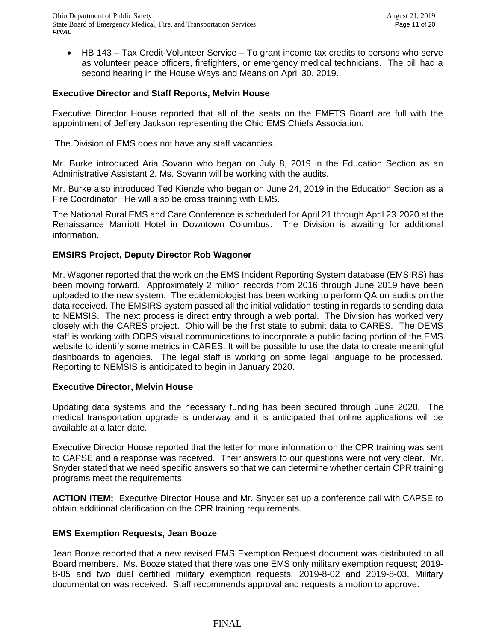HB 143 – Tax Credit-Volunteer Service – To grant income tax credits to persons who serve as volunteer peace officers, firefighters, or emergency medical technicians. The bill had a second hearing in the House Ways and Means on April 30, 2019.

## **Executive Director and Staff Reports, Melvin House**

Executive Director House reported that all of the seats on the EMFTS Board are full with the appointment of Jeffery Jackson representing the Ohio EMS Chiefs Association.

The Division of EMS does not have any staff vacancies.

Mr. Burke introduced Aria Sovann who began on July 8, 2019 in the Education Section as an Administrative Assistant 2. Ms. Sovann will be working with the audits.

Mr. Burke also introduced Ted Kienzle who began on June 24, 2019 in the Education Section as a Fire Coordinator. He will also be cross training with EMS.

The National Rural EMS and Care Conference is scheduled for April 21 through April 23, 2020 at the Renaissance Marriott Hotel in Downtown Columbus. The Division is awaiting for additional information.

## **EMSIRS Project, Deputy Director Rob Wagoner**

Mr. Wagoner reported that the work on the EMS Incident Reporting System database (EMSIRS) has been moving forward. Approximately 2 million records from 2016 through June 2019 have been uploaded to the new system. The epidemiologist has been working to perform QA on audits on the data received. The EMSIRS system passed all the initial validation testing in regards to sending data to NEMSIS. The next process is direct entry through a web portal. The Division has worked very closely with the CARES project. Ohio will be the first state to submit data to CARES. The DEMS staff is working with ODPS visual communications to incorporate a public facing portion of the EMS website to identify some metrics in CARES. It will be possible to use the data to create meaningful dashboards to agencies. The legal staff is working on some legal language to be processed. Reporting to NEMSIS is anticipated to begin in January 2020.

## **Executive Director, Melvin House**

Updating data systems and the necessary funding has been secured through June 2020. The medical transportation upgrade is underway and it is anticipated that online applications will be available at a later date.

Executive Director House reported that the letter for more information on the CPR training was sent to CAPSE and a response was received. Their answers to our questions were not very clear. Mr. Snyder stated that we need specific answers so that we can determine whether certain CPR training programs meet the requirements.

**ACTION ITEM:** Executive Director House and Mr. Snyder set up a conference call with CAPSE to obtain additional clarification on the CPR training requirements.

# **EMS Exemption Requests, Jean Booze**

Jean Booze reported that a new revised EMS Exemption Request document was distributed to all Board members. Ms. Booze stated that there was one EMS only military exemption request; 2019- 8-05 and two dual certified military exemption requests; 2019-8-02 and 2019-8-03. Military documentation was received. Staff recommends approval and requests a motion to approve.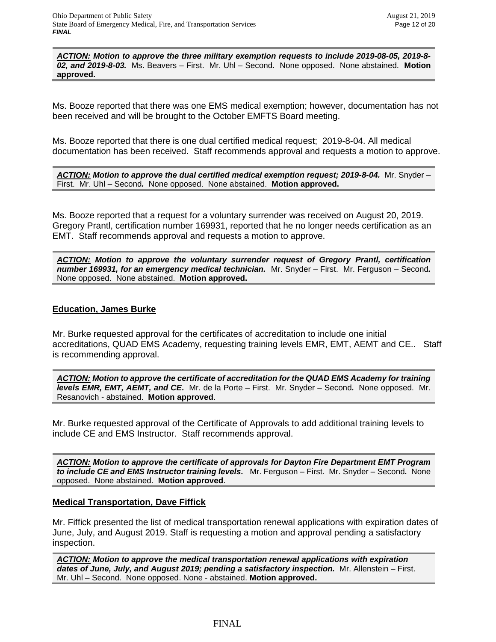*ACTION: Motion to approve the three military exemption requests to include 2019-08-05, 2019-8- 02, and 2019-8-03.* Ms. Beavers – First. Mr. Uhl – Second*.* None opposed. None abstained. **Motion approved.**

Ms. Booze reported that there was one EMS medical exemption; however, documentation has not been received and will be brought to the October EMFTS Board meeting.

Ms. Booze reported that there is one dual certified medical request; 2019-8-04. All medical documentation has been received. Staff recommends approval and requests a motion to approve.

*ACTION: Motion to approve the dual certified medical exemption request; 2019-8-04.* Mr. Snyder – First. Mr. Uhl – Second*.* None opposed. None abstained. **Motion approved.**

Ms. Booze reported that a request for a voluntary surrender was received on August 20, 2019. Gregory Prantl, certification number 169931, reported that he no longer needs certification as an EMT. Staff recommends approval and requests a motion to approve.

*ACTION: Motion to approve the voluntary surrender request of Gregory Prantl, certification number 169931, for an emergency medical technician.* Mr. Snyder – First. Mr. Ferguson – Second*.* None opposed. None abstained. **Motion approved.**

## **Education, James Burke**

Mr. Burke requested approval for the certificates of accreditation to include one initial accreditations, QUAD EMS Academy, requesting training levels EMR, EMT, AEMT and CE.. Staff is recommending approval.

*ACTION: Motion to approve the certificate of accreditation for the QUAD EMS Academy for training levels EMR, EMT, AEMT, and CE.* Mr. de la Porte – First. Mr. Snyder – Second*.* None opposed. Mr. Resanovich - abstained. **Motion approved**.

Mr. Burke requested approval of the Certificate of Approvals to add additional training levels to include CE and EMS Instructor. Staff recommends approval.

*ACTION: Motion to approve the certificate of approvals for Dayton Fire Department EMT Program to include CE and EMS Instructor training levels.* Mr. Ferguson – First. Mr. Snyder – Second*.* None opposed. None abstained. **Motion approved**.

## **Medical Transportation, Dave Fiffick**

Mr. Fiffick presented the list of medical transportation renewal applications with expiration dates of June, July, and August 2019. Staff is requesting a motion and approval pending a satisfactory inspection.

*ACTION: Motion to approve the medical transportation renewal applications with expiration dates of June, July, and August 2019; pending a satisfactory inspection.* Mr. Allenstein – First. Mr. Uhl – Second. None opposed. None - abstained. **Motion approved.**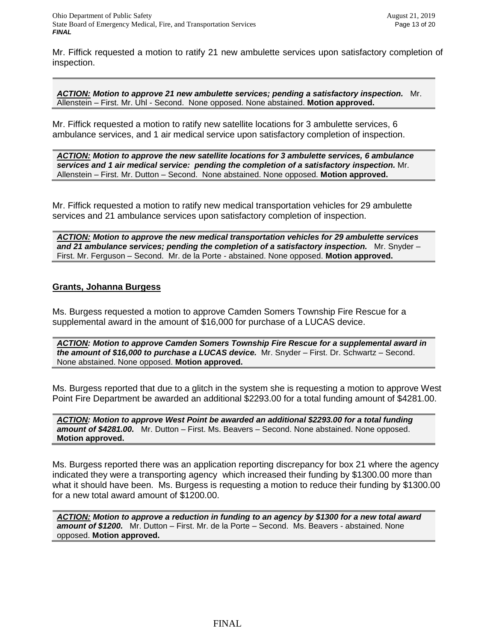Mr. Fiffick requested a motion to ratify 21 new ambulette services upon satisfactory completion of inspection.

*ACTION: Motion to approve 21 new ambulette services; pending a satisfactory inspection.* Mr. Allenstein – First. Mr. Uhl - Second. None opposed. None abstained. **Motion approved.**

Mr. Fiffick requested a motion to ratify new satellite locations for 3 ambulette services, 6 ambulance services, and 1 air medical service upon satisfactory completion of inspection.

*ACTION: Motion to approve the new satellite locations for 3 ambulette services, 6 ambulance services and 1 air medical service: pending the completion of a satisfactory inspection.* Mr. Allenstein – First. Mr. Dutton – Second. None abstained. None opposed. **Motion approved.**

Mr. Fiffick requested a motion to ratify new medical transportation vehicles for 29 ambulette services and 21 ambulance services upon satisfactory completion of inspection.

*ACTION: Motion to approve the new medical transportation vehicles for 29 ambulette services and 21 ambulance services; pending the completion of a satisfactory inspection.* Mr. Snyder – First. Mr. Ferguson – Second. Mr. de la Porte - abstained. None opposed. **Motion approved.**

## **Grants, Johanna Burgess**

Ms. Burgess requested a motion to approve Camden Somers Township Fire Rescue for a supplemental award in the amount of \$16,000 for purchase of a LUCAS device.

*ACTION: Motion to approve Camden Somers Township Fire Rescue for a supplemental award in the amount of \$16,000 to purchase a LUCAS device.* Mr. Snyder – First. Dr. Schwartz – Second. None abstained. None opposed. **Motion approved.** 

Ms. Burgess reported that due to a glitch in the system she is requesting a motion to approve West Point Fire Department be awarded an additional \$2293.00 for a total funding amount of \$4281.00.

*ACTION: Motion to approve West Point be awarded an additional \$2293.00 for a total funding amount of \$4281.00.* Mr. Dutton – First. Ms. Beavers – Second. None abstained. None opposed. **Motion approved.** 

Ms. Burgess reported there was an application reporting discrepancy for box 21 where the agency indicated they were a transporting agency which increased their funding by \$1300.00 more than what it should have been. Ms. Burgess is requesting a motion to reduce their funding by \$1300.00 for a new total award amount of \$1200.00.

*ACTION: Motion to approve a reduction in funding to an agency by \$1300 for a new total award amount of \$1200.* Mr. Dutton – First. Mr. de la Porte – Second. Ms. Beavers - abstained. None opposed. **Motion approved.**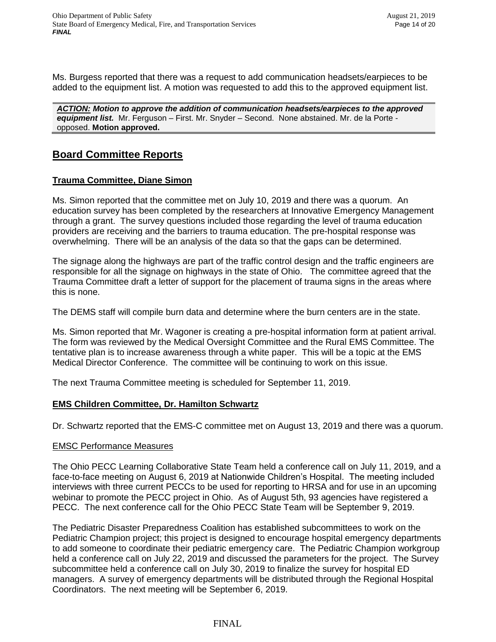Ms. Burgess reported that there was a request to add communication headsets/earpieces to be added to the equipment list. A motion was requested to add this to the approved equipment list.

*ACTION: Motion to approve the addition of communication headsets/earpieces to the approved equipment list.* Mr. Ferguson – First. Mr. Snyder – Second. None abstained. Mr. de la Porte opposed. **Motion approved.**

# **Board Committee Reports**

# **Trauma Committee, Diane Simon**

Ms. Simon reported that the committee met on July 10, 2019 and there was a quorum. An education survey has been completed by the researchers at Innovative Emergency Management through a grant. The survey questions included those regarding the level of trauma education providers are receiving and the barriers to trauma education. The pre-hospital response was overwhelming. There will be an analysis of the data so that the gaps can be determined.

The signage along the highways are part of the traffic control design and the traffic engineers are responsible for all the signage on highways in the state of Ohio. The committee agreed that the Trauma Committee draft a letter of support for the placement of trauma signs in the areas where this is none.

The DEMS staff will compile burn data and determine where the burn centers are in the state.

Ms. Simon reported that Mr. Wagoner is creating a pre-hospital information form at patient arrival. The form was reviewed by the Medical Oversight Committee and the Rural EMS Committee. The tentative plan is to increase awareness through a white paper. This will be a topic at the EMS Medical Director Conference. The committee will be continuing to work on this issue.

The next Trauma Committee meeting is scheduled for September 11, 2019.

# **EMS Children Committee, Dr. Hamilton Schwartz**

Dr. Schwartz reported that the EMS-C committee met on August 13, 2019 and there was a quorum.

## EMSC Performance Measures

The Ohio PECC Learning Collaborative State Team held a conference call on July 11, 2019, and a face-to-face meeting on August 6, 2019 at Nationwide Children's Hospital. The meeting included interviews with three current PECCs to be used for reporting to HRSA and for use in an upcoming webinar to promote the PECC project in Ohio. As of August 5th, 93 agencies have registered a PECC. The next conference call for the Ohio PECC State Team will be September 9, 2019.

The Pediatric Disaster Preparedness Coalition has established subcommittees to work on the Pediatric Champion project; this project is designed to encourage hospital emergency departments to add someone to coordinate their pediatric emergency care. The Pediatric Champion workgroup held a conference call on July 22, 2019 and discussed the parameters for the project. The Survey subcommittee held a conference call on July 30, 2019 to finalize the survey for hospital ED managers. A survey of emergency departments will be distributed through the Regional Hospital Coordinators. The next meeting will be September 6, 2019.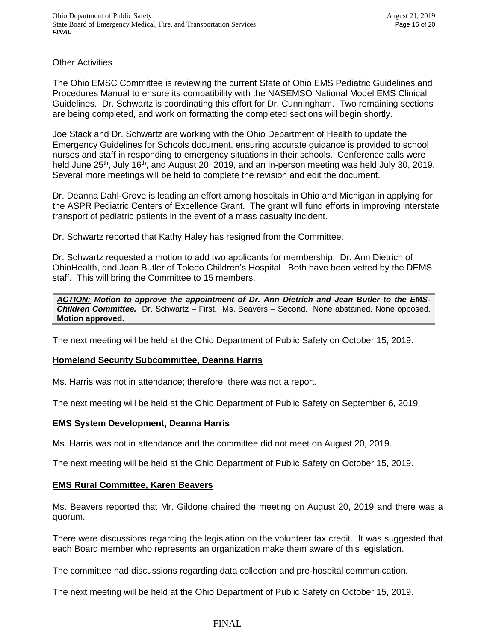## **Other Activities**

The Ohio EMSC Committee is reviewing the current State of Ohio EMS Pediatric Guidelines and Procedures Manual to ensure its compatibility with the NASEMSO National Model EMS Clinical Guidelines. Dr. Schwartz is coordinating this effort for Dr. Cunningham. Two remaining sections are being completed, and work on formatting the completed sections will begin shortly.

Joe Stack and Dr. Schwartz are working with the Ohio Department of Health to update the Emergency Guidelines for Schools document, ensuring accurate guidance is provided to school nurses and staff in responding to emergency situations in their schools. Conference calls were held June 25<sup>th</sup>, July 16<sup>th</sup>, and August 20, 2019, and an in-person meeting was held July 30, 2019. Several more meetings will be held to complete the revision and edit the document.

Dr. Deanna Dahl-Grove is leading an effort among hospitals in Ohio and Michigan in applying for the ASPR Pediatric Centers of Excellence Grant. The grant will fund efforts in improving interstate transport of pediatric patients in the event of a mass casualty incident.

Dr. Schwartz reported that Kathy Haley has resigned from the Committee.

Dr. Schwartz requested a motion to add two applicants for membership: Dr. Ann Dietrich of OhioHealth, and Jean Butler of Toledo Children's Hospital. Both have been vetted by the DEMS staff. This will bring the Committee to 15 members.

*ACTION: Motion to approve the appointment of Dr. Ann Dietrich and Jean Butler to the EMS-Children Committee.* Dr. Schwartz – First. Ms. Beavers – Second. None abstained. None opposed. **Motion approved.**

The next meeting will be held at the Ohio Department of Public Safety on October 15, 2019.

## **Homeland Security Subcommittee, Deanna Harris**

Ms. Harris was not in attendance; therefore, there was not a report.

The next meeting will be held at the Ohio Department of Public Safety on September 6, 2019.

## **EMS System Development, Deanna Harris**

Ms. Harris was not in attendance and the committee did not meet on August 20, 2019.

The next meeting will be held at the Ohio Department of Public Safety on October 15, 2019.

## **EMS Rural Committee, Karen Beavers**

Ms. Beavers reported that Mr. Gildone chaired the meeting on August 20, 2019 and there was a quorum.

There were discussions regarding the legislation on the volunteer tax credit. It was suggested that each Board member who represents an organization make them aware of this legislation.

The committee had discussions regarding data collection and pre-hospital communication.

The next meeting will be held at the Ohio Department of Public Safety on October 15, 2019.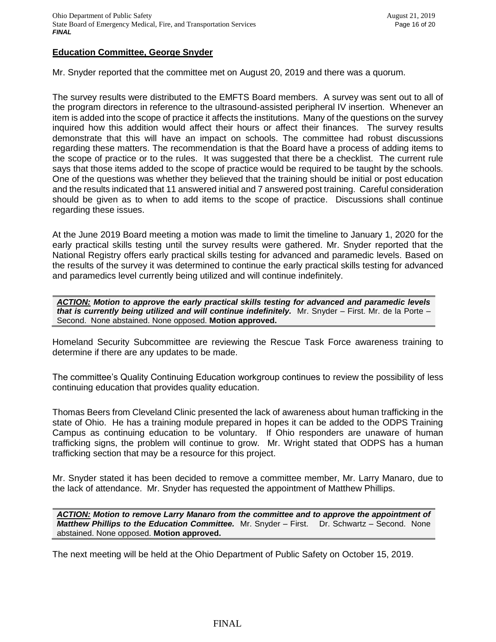## **Education Committee, George Snyder**

Mr. Snyder reported that the committee met on August 20, 2019 and there was a quorum.

The survey results were distributed to the EMFTS Board members. A survey was sent out to all of the program directors in reference to the ultrasound-assisted peripheral IV insertion. Whenever an item is added into the scope of practice it affects the institutions. Many of the questions on the survey inquired how this addition would affect their hours or affect their finances. The survey results demonstrate that this will have an impact on schools. The committee had robust discussions regarding these matters. The recommendation is that the Board have a process of adding items to the scope of practice or to the rules. It was suggested that there be a checklist. The current rule says that those items added to the scope of practice would be required to be taught by the schools. One of the questions was whether they believed that the training should be initial or post education and the results indicated that 11 answered initial and 7 answered post training. Careful consideration should be given as to when to add items to the scope of practice. Discussions shall continue regarding these issues.

At the June 2019 Board meeting a motion was made to limit the timeline to January 1, 2020 for the early practical skills testing until the survey results were gathered. Mr. Snyder reported that the National Registry offers early practical skills testing for advanced and paramedic levels. Based on the results of the survey it was determined to continue the early practical skills testing for advanced and paramedics level currently being utilized and will continue indefinitely.

*ACTION: Motion to approve the early practical skills testing for advanced and paramedic levels that is currently being utilized and will continue indefinitely.* Mr. Snyder – First. Mr. de la Porte – Second. None abstained. None opposed. **Motion approved.**

Homeland Security Subcommittee are reviewing the Rescue Task Force awareness training to determine if there are any updates to be made.

The committee's Quality Continuing Education workgroup continues to review the possibility of less continuing education that provides quality education.

Thomas Beers from Cleveland Clinic presented the lack of awareness about human trafficking in the state of Ohio. He has a training module prepared in hopes it can be added to the ODPS Training Campus as continuing education to be voluntary. If Ohio responders are unaware of human trafficking signs, the problem will continue to grow. Mr. Wright stated that ODPS has a human trafficking section that may be a resource for this project.

Mr. Snyder stated it has been decided to remove a committee member, Mr. Larry Manaro, due to the lack of attendance. Mr. Snyder has requested the appointment of Matthew Phillips.

*ACTION: Motion to remove Larry Manaro from the committee and to approve the appointment of Matthew Phillips to the Education Committee.* Mr. Snyder – First. Dr. Schwartz – Second. None abstained. None opposed. **Motion approved.**

The next meeting will be held at the Ohio Department of Public Safety on October 15, 2019.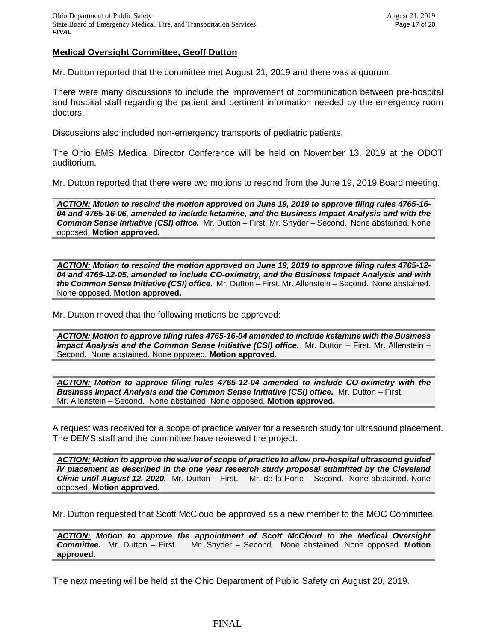### **Medical Oversight Committee, Geoff Dutton**

Mr. Dutton reported that the committee met August 21, 2019 and there was a quorum.

There were many discussions to include the improvement of communication between pre-hospital and hospital staff regarding the patient and pertinent information needed by the emergency room doctors.

Discussions also included non-emergency transports of pediatric patients.

The Ohio EMS Medical Director Conference will be held on November 13, 2019 at the ODOT auditorium.

Mr. Dutton reported that there were two motions to rescind from the June 19, 2019 Board meeting.

*ACTION: Motion to rescind the motion approved on June 19, 2019 to approve filing rules 4765-16- 04 and 4765-16-06, amended to include ketamine, and the Business Impact Analysis and with the Common Sense Initiative (CSI) office.* Mr. Dutton – First. Mr. Snyder – Second. None abstained. None opposed. **Motion approved.**

*ACTION: Motion to rescind the motion approved on June 19, 2019 to approve filing rules 4765-12- 04 and 4765-12-05, amended to include CO-oximetry, and the Business Impact Analysis and with the Common Sense Initiative (CSI) office.* Mr. Dutton – First. Mr. Allenstein – Second. None abstained. None opposed. **Motion approved.**

Mr. Dutton moved that the following motions be approved:

*ACTION: Motion to approve filing rules 4765-16-04 amended to include ketamine with the Business Impact Analysis and the Common Sense Initiative (CSI) office.* Mr. Dutton – First. Mr. Allenstein – Second. None abstained. None opposed. **Motion approved.**

*ACTION: Motion to approve filing rules 4765-12-04 amended to include CO-oximetry with the Business Impact Analysis and the Common Sense Initiative (CSI) office.* Mr. Dutton – First. Mr. Allenstein – Second. None abstained. None opposed. **Motion approved.**

A request was received for a scope of practice waiver for a research study for ultrasound placement. The DEMS staff and the committee have reviewed the project.

*ACTION: Motion to approve the waiver of scope of practice to allow pre-hospital ultrasound guided IV placement as described in the one year research study proposal submitted by the Cleveland Clinic until August 12, 2020.* Mr. Dutton – First. Mr. de la Porte – Second. None abstained. None opposed. **Motion approved.**

Mr. Dutton requested that Scott McCloud be approved as a new member to the MOC Committee.

*ACTION: Motion to approve the appointment of Scott McCloud to the Medical Oversight Committee.* Mr. Dutton – First. Mr. Snyder – Second. None abstained. None opposed. **Motion approved.**

The next meeting will be held at the Ohio Department of Public Safety on August 20, 2019.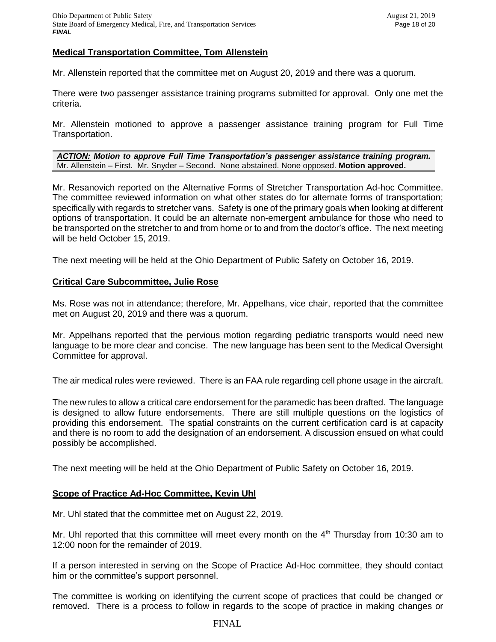## **Medical Transportation Committee, Tom Allenstein**

Mr. Allenstein reported that the committee met on August 20, 2019 and there was a quorum.

There were two passenger assistance training programs submitted for approval. Only one met the criteria.

Mr. Allenstein motioned to approve a passenger assistance training program for Full Time Transportation.

*ACTION: Motion to approve Full Time Transportation's passenger assistance training program.* Mr. Allenstein – First. Mr. Snyder – Second. None abstained. None opposed. **Motion approved.**

Mr. Resanovich reported on the Alternative Forms of Stretcher Transportation Ad-hoc Committee. The committee reviewed information on what other states do for alternate forms of transportation; specifically with regards to stretcher vans. Safety is one of the primary goals when looking at different options of transportation. It could be an alternate non-emergent ambulance for those who need to be transported on the stretcher to and from home or to and from the doctor's office. The next meeting will be held October 15, 2019.

The next meeting will be held at the Ohio Department of Public Safety on October 16, 2019.

#### **Critical Care Subcommittee, Julie Rose**

Ms. Rose was not in attendance; therefore, Mr. Appelhans, vice chair, reported that the committee met on August 20, 2019 and there was a quorum.

Mr. Appelhans reported that the pervious motion regarding pediatric transports would need new language to be more clear and concise. The new language has been sent to the Medical Oversight Committee for approval.

The air medical rules were reviewed. There is an FAA rule regarding cell phone usage in the aircraft.

The new rules to allow a critical care endorsement for the paramedic has been drafted. The language is designed to allow future endorsements. There are still multiple questions on the logistics of providing this endorsement. The spatial constraints on the current certification card is at capacity and there is no room to add the designation of an endorsement. A discussion ensued on what could possibly be accomplished.

The next meeting will be held at the Ohio Department of Public Safety on October 16, 2019.

## **Scope of Practice Ad-Hoc Committee, Kevin Uhl**

Mr. Uhl stated that the committee met on August 22, 2019.

Mr. Uhl reported that this committee will meet every month on the  $4<sup>th</sup>$  Thursday from 10:30 am to 12:00 noon for the remainder of 2019.

If a person interested in serving on the Scope of Practice Ad-Hoc committee, they should contact him or the committee's support personnel.

The committee is working on identifying the current scope of practices that could be changed or removed. There is a process to follow in regards to the scope of practice in making changes or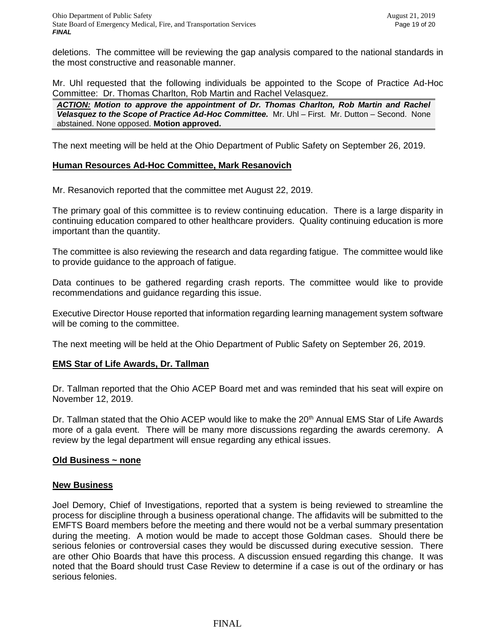deletions. The committee will be reviewing the gap analysis compared to the national standards in the most constructive and reasonable manner.

Mr. Uhl requested that the following individuals be appointed to the Scope of Practice Ad-Hoc Committee: Dr. Thomas Charlton, Rob Martin and Rachel Velasquez.

*ACTION: Motion to approve the appointment of Dr. Thomas Charlton, Rob Martin and Rachel*  Velasquez to the Scope of Practice Ad-Hoc Committee. Mr. Uhl – First. Mr. Dutton – Second. None abstained. None opposed. **Motion approved.**

The next meeting will be held at the Ohio Department of Public Safety on September 26, 2019.

## **Human Resources Ad-Hoc Committee, Mark Resanovich**

Mr. Resanovich reported that the committee met August 22, 2019.

The primary goal of this committee is to review continuing education. There is a large disparity in continuing education compared to other healthcare providers. Quality continuing education is more important than the quantity.

The committee is also reviewing the research and data regarding fatigue. The committee would like to provide guidance to the approach of fatigue.

Data continues to be gathered regarding crash reports. The committee would like to provide recommendations and guidance regarding this issue.

Executive Director House reported that information regarding learning management system software will be coming to the committee.

The next meeting will be held at the Ohio Department of Public Safety on September 26, 2019.

# **EMS Star of Life Awards, Dr. Tallman**

Dr. Tallman reported that the Ohio ACEP Board met and was reminded that his seat will expire on November 12, 2019.

Dr. Tallman stated that the Ohio ACEP would like to make the 20<sup>th</sup> Annual EMS Star of Life Awards more of a gala event. There will be many more discussions regarding the awards ceremony. A review by the legal department will ensue regarding any ethical issues.

## **Old Business ~ none**

## **New Business**

Joel Demory, Chief of Investigations, reported that a system is being reviewed to streamline the process for discipline through a business operational change. The affidavits will be submitted to the EMFTS Board members before the meeting and there would not be a verbal summary presentation during the meeting. A motion would be made to accept those Goldman cases. Should there be serious felonies or controversial cases they would be discussed during executive session. There are other Ohio Boards that have this process. A discussion ensued regarding this change. It was noted that the Board should trust Case Review to determine if a case is out of the ordinary or has serious felonies.